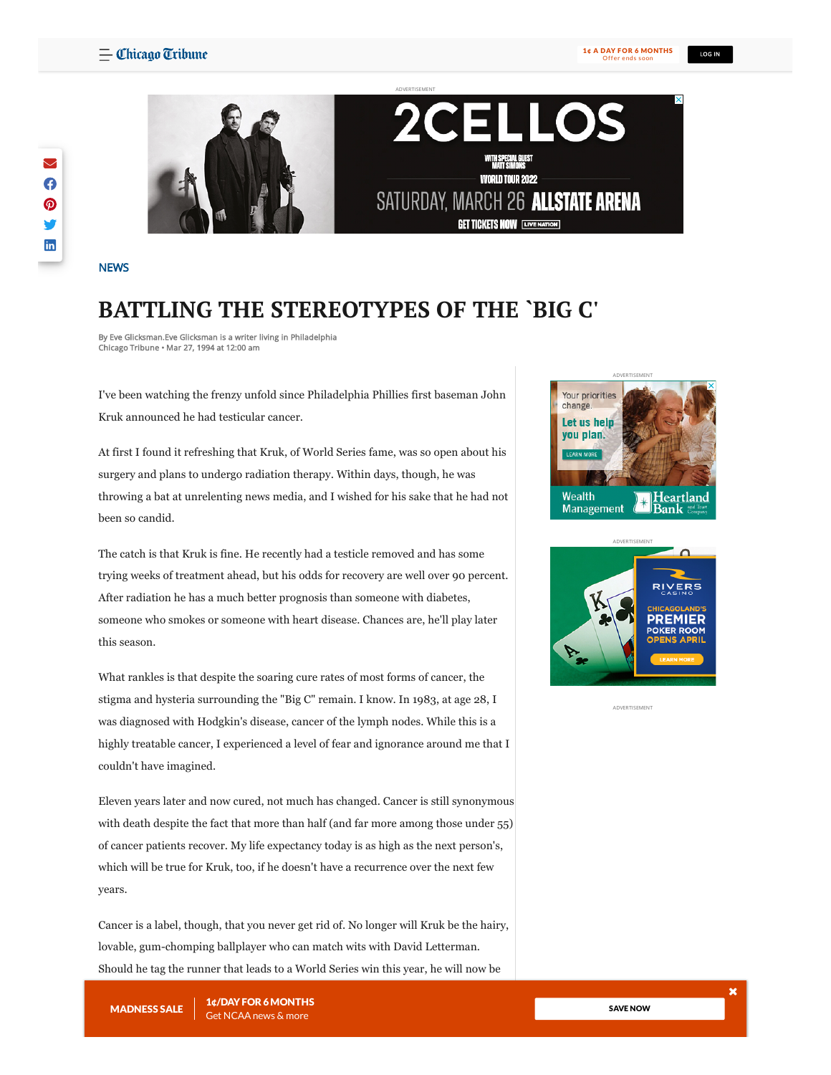LOG IN



# l **WORLD TOUR 2022** SATURDAY, MARCH 26 ALLSTATE ARENA **GET TICKETS NOW LIVE NATION**

**[NEWS](https://www.chicagotribune.com/news/#nt=taxonomy-article)** 

## **BATTLING THE STEREOTYPES OF THE `BIG C'**

ADVERTISEMENT

By Eve Glicksman.Eve Glicksman is a writer living in Philadelphia Chicago Tribune • Mar 27, 1994 at 12:00 am

I've been watching the frenzy unfold since Philadelphia Phillies first baseman John Kruk announced he had testicular cancer.

At first I found it refreshing that Kruk, of World Series fame, was so open about his surgery and plans to undergo radiation therapy. Within days, though, he was throwing a bat at unrelenting news media, and I wished for his sake that he had not been so candid.

The catch is that Kruk is fine. He recently had a testicle removed and has some trying weeks of treatment ahead, but his odds for recovery are well over 90 percent. After radiation he has a much better prognosis than someone with diabetes, someone who smokes or someone with heart disease. Chances are, he'll play later this season.

What rankles is that despite the soaring cure rates of most forms of cancer, the stigma and hysteria surrounding the "Big C" remain. I know. In 1983, at age 28, I was diagnosed with Hodgkin's disease, cancer of the lymph nodes. While this is a highly treatable cancer, I experienced a level of fear and ignorance around me that I couldn't have imagined.

Eleven years later and now cured, not much has changed. Cancer is still synonymous with death despite the fact that more than half (and far more among those under 55) of cancer patients recover. My life expectancy today is as high as the next person's, which will be true for Kruk, too, if he doesn't have a recurrence over the next few years.

Cancer is a label, though, that you never get rid of. No longer will Kruk be the hairy, lovable, gum-chomping ballplayer who can match wits with David Letterman. Should he tag the runner that leads to a World Series win this year, he will now be





ADVERTISEMENT

braved treatment

with mortality. John Kruk, a bigger hero because hero because he had a terrible disease and a terrible disease MADNESS SALE 1¢/DAYFOR 6MONTHS

SAVE [NOW](https://www.chicagotribune.com/subscriptions/land-march-madness/?market=ct&source=toaster&int=ct_digitaladshouse_mm-sale-2022_acquisition-subscriber_toaster-whisperer_toaster-whisperer______bxca)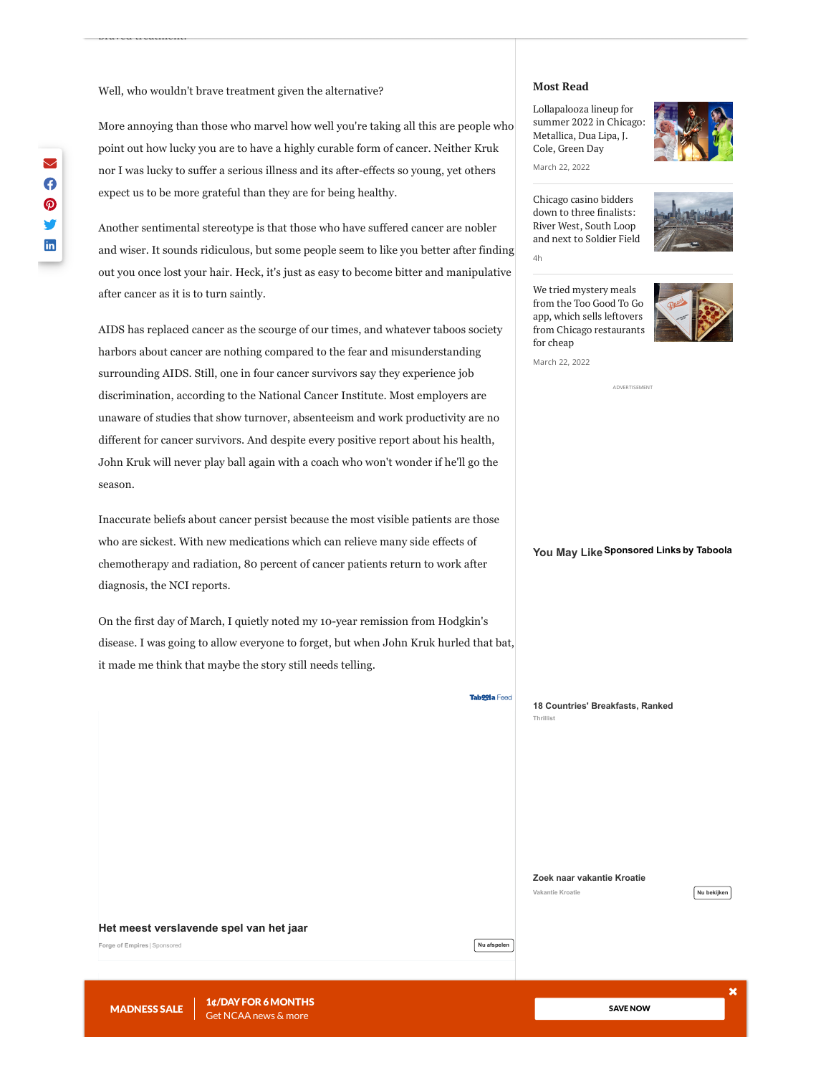Well, who wouldn't brave treatment given the alternative?

braved treatment.

More annoying than those who marvel how well you're taking all this are people who point out how lucky you are to have a highly curable form of cancer. Neither Kruk nor I was lucky to suffer a serious illness and its after-effects so young, yet others expect us to be more grateful than they are for being healthy.

Another sentimental stereotype is that those who have suffered cancer are nobler and wiser. It sounds ridiculous, but some people seem to like you better after finding out you once lost your hair. Heck, it's just as easy to become bitter and manipulative after cancer as it is to turn saintly.

AIDS has replaced cancer as the scourge of our times, and whatever taboos society harbors about cancer are nothing compared to the fear and misunderstanding surrounding AIDS. Still, one in four cancer survivors say they experience job discrimination, according to the National Cancer Institute. Most employers are unaware of studies that show turnover, absenteeism and work productivity are no different for cancer survivors. And despite every positive report about his health, John Kruk will never play ball again with a coach who won't wonder if he'll go the season.

Inaccurate beliefs about cancer persist because the most visible patients are those who are sickest. With new medications which can relieve many side effects of chemotherapy and radiation, 80 percent of cancer patients return to work after diagnosis, the NCI reports.

On the first day of March, I quietly noted my 10-year remission from Hodgkin's disease. I was going to allow everyone to forget, but when John Kruk hurled that bat, it made me think that maybe the story still needs telling.

**[Het meest verslavende spel van het jaar](https://om.forgeofempires.com/foe/nl/?ref=tab_nl_nl&&external_param=2855376881&pid=tribunedigital-chicagotribune&bid=http%3A%2F%2Fcdn.taboola.com%2Flibtrc%2Fstatic%2Fthumbnails%2F11fed979accfb8cd4c2bcc4028c189b1.jpeg&tblci=GiCJf3tDDHOAAT7q7ixUsSPy3wmo2dhMM0DKK88kuHoqoSDJqD8oiYuJw9XS2fVM#tblciGiCJf3tDDHOAAT7q7ixUsSPy3wmo2dhMM0DKK88kuHoqoSDJqD8oiYuJw9XS2fVM)**

**[Nu afspelen](https://trc.taboola.com/tribunedigital-chicagotribune/log/3/click?pi=%2Fnews%2Fct-xpm-1994-03-27-9403270398-story.html&ri=0cf0c72b25fecb0cc77f3d467063f495&sd=v2_0f403b1dcb21326485d51a781cd8a4d9_bfe12dc3-f9e3-4c14-be69-839b8ae5267c-tuct934218c_1648008204_1648008204_CNawjgYQrco9GPGexqf7LyABKAEwoQE4l-oLQJmXEEi0htgDUP___________wFYAGAAaOOv5p_U4LqOMnAA&ui=bfe12dc3-f9e3-4c14-be69-839b8ae5267c-tuct934218c&it=text&ii=~~V1~~-8594818099329583836~~9gnsPAck4EZx7CueIP-XXOMxnAGlMgkMrWQfyvIbJ-HTxvAnL2wqac4MyzR7uD46gj3kUkbS3FhelBtnsiJV6MhkDZRZzzIqDobN6rWmCPA3hYz5D3PLat6nhIftiT1lwdxwdlxkeV_Mfb3eos_TQavImGhxk0e7psNAZxHJ9RJ3GazEgKhXHrnOEF5GkZY-K3tVNAJyWMF8c8rT2hJ6aUNDWFQ_jOQUa1XANT8asgYFMprKyPpf7o5fYM19j2rIjxfAtsj75Zm6PzSBS4yNyYsQY1ocAJe2i9XJvNVjSY0&pt=text&li=rbox-t2v&sig=ab16a8b0e3f70f4792ca0985bbfea5bdd08b6601a6de&redir=https%3A%2F%2Fom.forgeofempires.com%2Ffoe%2Fnl%2F%3Fref%3Dtab_nl_nl%26%26external_param%3D2855376881%26pid%3Dtribunedigital-chicagotribune%26bid%3Dhttp%253A%252F%252Fcdn.taboola.com%252Flibtrc%252Fstatic%252Fthumbnails%252F11fed979accfb8cd4c2bcc4028c189b1.jpeg%26tblci%3DGiCJf3tDDHOAAT7q7ixUsSPy3wmo2dhMM0DKK88kuHoqoSDJqD8oiYuJw9XS2fVM%23tblciGiCJf3tDDHOAAT7q7ixUsSPy3wmo2dhMM0DKK88kuHoqoSDJqD8oiYuJw9XS2fVM&vi=1648008204145&p=innogamesforgeofempiressc&r=80&tvi2=5271<i=deflated&ppb=CJIG&cpb=EhIyMDIyMDMxOS0yLVJFTEVBU0UYrAcgmPseKhloay50YWJvb2xhc3luZGljYXRpb24uY29tMgh0cmM2MDExNziA3rzJCkCX6gtImZcQULSG2ANY____________AWMI9B0QlykYAmRjCNcWENUfGCNkYwikKRCsNxgkZGMI0gMQ4AYYCGRjCJYUEJccGBhkYwjrJBDPMxgdZGMI9BQQnh0YH2RjCKQnEIM1GC9keAGAAfZXiAG0hunDAZABFg&cta=true)**

**Tab99la Feed** 

#### **Most Read**

[Lollapalooza](https://www.chicagotribune.com/entertainment/music/ct-ent-lollapalooza-lineup-summer-2022-20220322-tmebs7epljht5c7wdokjfuzhtm-story.html#nt=related-content) lineup for summer 2022 in Chicago: Metallica, Dua Lipa, J. Cole, Green Day



March 22, 2022

Chicago casino bidders down to three [finalists:](https://www.chicagotribune.com/news/breaking/ct-chicago-casino-three-finalists-bids-20220322-gxtcc4pihvaqvetdgefd4hse44-story.html#nt=related-content) River West, South Loop and next to Soldier Field 4h



We tried mystery meals from the Too Good To Go app, which sells leftovers from Chicago [restaurants](https://www.chicagotribune.com/dining/ct-food-too-good-to-go-app-tt-20220322-2dx7f6nvcrczfdfhidy7crhxqe-story.html#nt=related-content) for cheap

March 22, 2022



ADVERTISEMENT

**You May Like[Sponsored](https://popup.taboola.com/en/?template=colorbox&utm_source=tribunedigital-chicagotribune&utm_medium=referral&utm_content=thumbnails-rr2:taboola-right-rail-thumbnails_arc:#nt=related-content) Links by [Taboola](https://popup.taboola.com/en/?template=colorbox&utm_source=tribunedigital-chicagotribune&utm_medium=referral&utm_content=thumbnails-rr2:taboola-right-rail-thumbnails_arc:#nt=related-content)**

**Thrillist [18 Countries' Breakfasts, Ranked](https://edition.thrillist.com/s/worlds-best-breakfast-ranking-57d9c8ad104a40e8?utm_campaign=worldsbestbreakfast-c81dc89a7b5c436d&utm_source=tab&utm_medium=cpc&utm_term=tribunedigital-chicagotribune#nt=related-content)**

**Vakantie Kroatie [Zoek naar vakantie Kroatie](https://results.vibescaster.com/nl/search?s=w&q=Vakantie+Kroatie&_qntk_source=taboola&_qntk_mezzo=cpc&click-id=GiCJf3tDDHOAAT7q7ixUsSPy3wmo2dhMM0DKK88kuHoqoSDLi1cokf6zmrDe78nzAQ&name=clickads&partner-name=1426891&_qntk_camp=16863710&_qntk_creat=3177651213&utm_medium=search_VIBE_nl_%5BVACANZE%5D_tbl_Vakantie_Kroatie_kdevdesk_%5BTs2%5D_08mar22_%5BkDUPL%5D_%5BcntNL%5D&utm_campaign=search_VIBE_nl_%5BVACANZE%5D_tbl_Vakantie_Kroatie_kdevdesk_%5BTs2%5D_08mar22_%5BkDUPL%5D_%5BcntNL%5D&_qntk_site=tribunedigital-chicagotribune&_qntk_siteid=1008941&_qntk_dev=Desktop&utm_term=Vakantie_Kroatie&tmplt=s2#tblciGiCJf3tDDHOAAT7q7ixUsSPy3wmo2dhMM0DKK88kuHoqoSDLi1cokf6zmrDe78nzAQ)**



**Forge of Empires** |[Sponsored](https://popup.taboola.com/en/?template=colorbox&utm_source=tribunedigital-chicagotribune&utm_medium=referral&utm_content=thumbs-feed-01a:below-article-thumbs_ARC%20|%20Card%201:)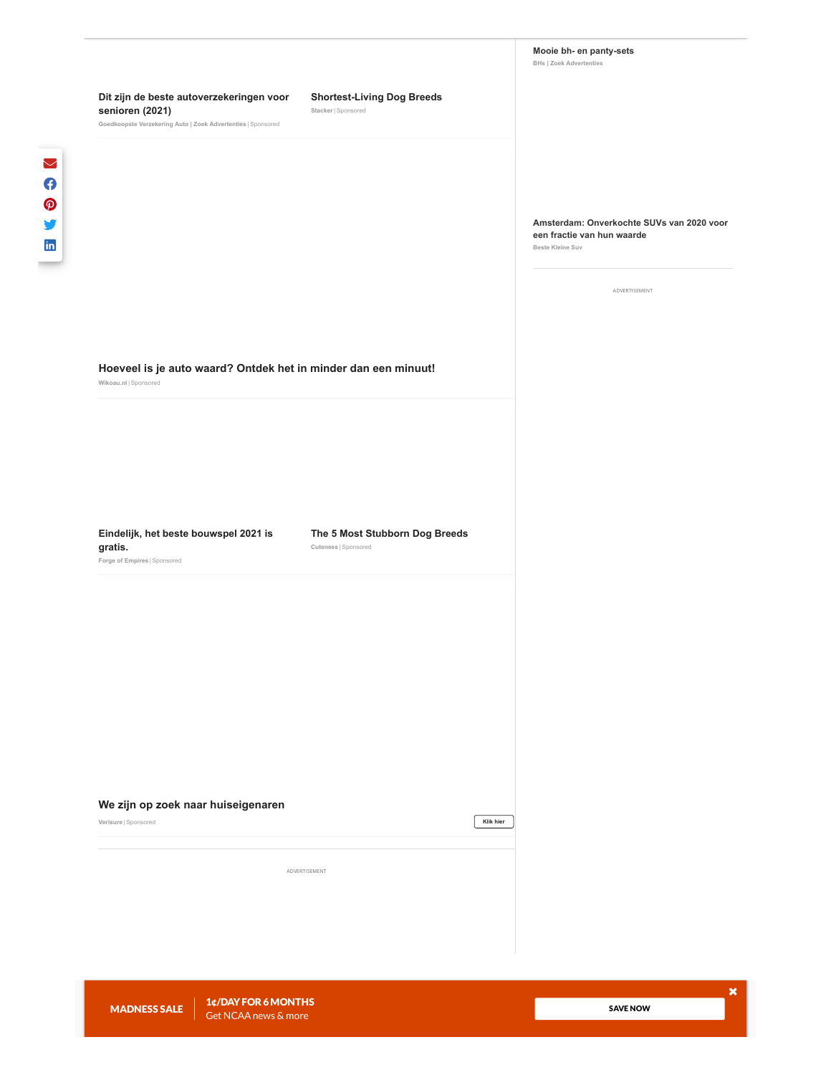#### **[Dit zijn de beste autoverzekeringen voor](http://xlyqs.com/cid/d04c53df-8527-4bff-8d4a-ed3acc6b6aef?campaignid=16461773&platform=Desktop&campaignitemid=3172224879&site=tribunedigital-chicagotribune&clickid=GiCJf3tDDHOAAT7q7ixUsSPy3wmo2dhMM0DKK88kuHoqoSCNyVQomIb6o9S4gOtn×tamp=2022-03-23+04%3A03%3A25&thumbnail=http%3A%2F%2Fxlyqs.com%2Fcontent%2F887c34a0-6fb2-4490-a474-c216887fe5a5.jpeg&title=Dit+zijn+de+beste+autoverzekeringen+voor+senioren+%282021%29#tblciGiCJf3tDDHOAAT7q7ixUsSPy3wmo2dhMM0DKK88kuHoqoSCNyVQomIb6o9S4gOtn) senioren (2021) Stacker | [Sponsored](https://popup.taboola.com/en/?template=colorbox&utm_source=tribunedigital-chicagotribune&utm_medium=referral&utm_content=thumbs-feed-01-a:below-article-thumbs_ARC%20|%20Card%202:)**

**Goedkoopste Verzekering Auto | Zoek Advertenties** |[Sponsored](https://popup.taboola.com/en/?template=colorbox&utm_source=tribunedigital-chicagotribune&utm_medium=referral&utm_content=thumbs-feed-01-a:below-article-thumbs_ARC%20|%20Card%202:)

#### **[Shortest-Living Dog Breeds](https://edition.stacker.com/s/shortest-living-dog-breeds-b20956d7fcaa4b9b?utm_campaign=shorestlivingdogs-7a84baf48d064365&utm_source=tab&utm_medium=cpc&utm_term=tribunedigital-chicagotribune)**

### **[Amsterdam: Onverkochte SUVs van 2020 voor](https://thistimeforus.com/go/77ce6899-3bc7-4a01-8efa-28573ecc98d8?click_id=GiCJf3tDDHOAAT7q7ixUsSPy3wmo2dhMM0DKK88kuHoqoSC5xlMo-pHNmfiZ-6-IAQ&site=tribunedigital-chicagotribune&thumbnail=http%3A%2F%2Fcdn.taboola.com%2Flibtrc%2Fstatic%2Fthumbnails%2F07a39346d46e03345e0828f4fd566fd4.jpg&title=Amsterdam%3A+Onverkochte+SUVs+van+2020+voor+een+fractie+van+hun+waarde&campaign_id=15137301&site_id=1008941&campaign_item_id=3078796521&utm_source=taboola&utm_medium=referral&tblci=GiCJf3tDDHOAAT7q7ixUsSPy3wmo2dhMM0DKK88kuHoqoSC5xlMo-pHNmfiZ-6-IAQ#tblciGiCJf3tDDHOAAT7q7ixUsSPy3wmo2dhMM0DKK88kuHoqoSC5xlMo-pHNmfiZ-6-IAQ) een fractie van hun waarde**

**Beste Kleine Suv**

ADVERTISEMENT

#### **[Hoeveel is je auto waard? Ontdek het in minder dan een minuut!](https://cert.home4four.com/v2/click/ts21qxwqc6dfrvvq4qo?tab_sub=GiCJf3tDDHOAAT7q7ixUsSPy3wmo2dhMM0DKK88kuHoqoSCggVUo-r-Rpvmbt7DiAQ&tblci=GiCJf3tDDHOAAT7q7ixUsSPy3wmo2dhMM0DKK88kuHoqoSCggVUo-r-Rpvmbt7DiAQ#tblciGiCJf3tDDHOAAT7q7ixUsSPy3wmo2dhMM0DKK88kuHoqoSCggVUo-r-Rpvmbt7DiAQ)**

**Wikoau.nl** | [Sponsored](https://popup.taboola.com/en/?template=colorbox&utm_source=tribunedigital-chicagotribune&utm_medium=referral&utm_content=thumbs-feed-01a:below-article-thumbs_ARC%20|%20Card%203:)

**[Eindelijk, het beste bouwspel 2021 is](http://xthursookvnw.unicornpride123.com/l.php?p=c:l34ggd3&d=6127629c69d9d47c3c342a47&s=tribunedigital-chicagotribune&pid=GiCJf3tDDHOAAT7q7ixUsSPy3wmo2dhMM0DKK88kuHoqoSDu9FEol82nqr6609D_AQ&cmp=12276428&b=3027423645&source_id=f.o.r.g.e.100_BELGNETHLUX00000003FR&sub1=f.o.r.g.e.100_BELGNETHLUX00000003FR&sub2=%7Bkeyword%7D&sub3=%7B%7Bad.id%7D%7D&sub4=%7Bcreative%7D&sub5=863&utm_source=taboola&utm_medium=referral&tblci=GiCJf3tDDHOAAT7q7ixUsSPy3wmo2dhMM0DKK88kuHoqoSDu9FEol82nqr6609D_AQ#tblciGiCJf3tDDHOAAT7q7ixUsSPy3wmo2dhMM0DKK88kuHoqoSDu9FEol82nqr6609D_AQ) gratis. Cuteness** |[Sponsored](https://popup.taboola.com/en/?template=colorbox&utm_source=tribunedigital-chicagotribune&utm_medium=referral&utm_content=thumbs-feed-01-a:below-article-thumbs_ARC%20|%20Card%204:)

**[The 5 Most Stubborn Dog Breeds](https://edition.cuteness.com/s/most-stubborn-dogs-9b054ce2591c46ff?utm_campaign=moststubborndogs-7a0b749ff21f4759&utm_source=tab&utm_medium=cpc&utm_term=tribunedigital-chicagotribune)**

**Forge of Empires** |[Sponsored](https://popup.taboola.com/en/?template=colorbox&utm_source=tribunedigital-chicagotribune&utm_medium=referral&utm_content=thumbs-feed-01-a:below-article-thumbs_ARC%20|%20Card%204:)

**[We zijn op zoek naar huiseigenaren](https://www.verisure.nl/lp/calculator-lottery/?camp=alarmtester_taboola_d_7&utm_source=taboola&utm_medium=referral&tblci=GiCJf3tDDHOAAT7q7ixUsSPy3wmo2dhMM0DKK88kuHoqoSCB8VAo14b2jJiw9OjbAQ#tblciGiCJf3tDDHOAAT7q7ixUsSPy3wmo2dhMM0DKK88kuHoqoSCB8VAo14b2jJiw9OjbAQ)**

**Verisure** |[Sponsored](https://popup.taboola.com/en/?template=colorbox&utm_source=tribunedigital-chicagotribune&utm_medium=referral&utm_content=thumbs-feed-01a:below-article-thumbs_ARC%20|%20Card%205:)

ADVERTISEMENT

SAVE [NOW](https://www.chicagotribune.com/subscriptions/land-march-madness/?market=ct&source=toaster&int=ct_digitaladshouse_mm-sale-2022_acquisition-subscriber_toaster-whisperer_toaster-whisperer______bxca)

COMPANY INFO

**[Klik hier](https://trc.taboola.com/tribunedigital-chicagotribune/log/3/click?pi=%2Fnews%2Fct-xpm-1994-03-27-9403270398-story.html&ri=27d63b61ec58ed8542a98b1d5931b49b&sd=v2_0f403b1dcb21326485d51a781cd8a4d9_bfe12dc3-f9e3-4c14-be69-839b8ae5267c-tuct934218c_1648008204_1648008204_CNawjgYQrco9GPGexqf7LyABKAEwoQE4l-oLQJmXEEi0htgDUP___________wFYAGAAaOOv5p_U4LqOMnAA&ui=bfe12dc3-f9e3-4c14-be69-839b8ae5267c-tuct934218c&it=text&ii=~~V1~~-3764806794936401193~~zBckalPyZ-FaA_8_oJ82rCwrmB60Fd112fR_qR6zKGTTxvAnL2wqac4MyzR7uD46gj3kUkbS3FhelBtnsiJV6MhkDZRZzzIqDobN6rWmCPA3hYz5D3PLat6nhIftiT1lwdxwdlxkeV_Mfb3eos_TQavImGhxk0e7psNAZxHJ9RJPVSUynVGsH0KkfNy1CBNTK3tVNAJyWMF8c8rT2hJ6aaRjJlV1KvSqlr34tCxkEbZHFbUJy7IFiXb_pAnRTAxYjxfAtsj75Zm6PzSBS4yNyYsQY1ocAJe2i9XJvNVjSY0&pt=text&li=rbox-t2v&sig=5d85bc59ff78f65d01a787b370a631a755ebc482facf&redir=https%3A%2F%2Fwww.verisure.nl%2Flp%2Fcalculator-lottery%2F%3Fcamp%3Dalarmtester_taboola_d_7%26utm_source%3Dtaboola%26utm_medium%3Dreferral%26tblci%3DGiCJf3tDDHOAAT7q7ixUsSPy3wmo2dhMM0DKK88kuHoqoSCB8VAo14b2jJiw9OjbAQ%23tblciGiCJf3tDDHOAAT7q7ixUsSPy3wmo2dhMM0DKK88kuHoqoSCB8VAo14b2jJiw9OjbAQ&vi=1648008204145&p=verisurenl-ad-sc&r=38&tvi2=5271<i=deflated&ppb=CLEC&cpb=EhIyMDIyMDMxOS0yLVJFTEVBU0UYrAcgmPseKhloay50YWJvb2xhc3luZGljYXRpb24uY29tMgh0cmM2MDExNziA3rzJCkCX6gtImZcQULSG2ANY____________AWMI9B0QlykYAmRjCNcWENUfGCNkYwikKRCsNxgkZGMI0gMQ4AYYCGRjCJYUEJccGBhkYwjrJBDPMxgdZGMI9BQQnh0YH2RjCKQnEIM1GC9keAGAAfZXiAG0hunDAZABFg&cta=true)**